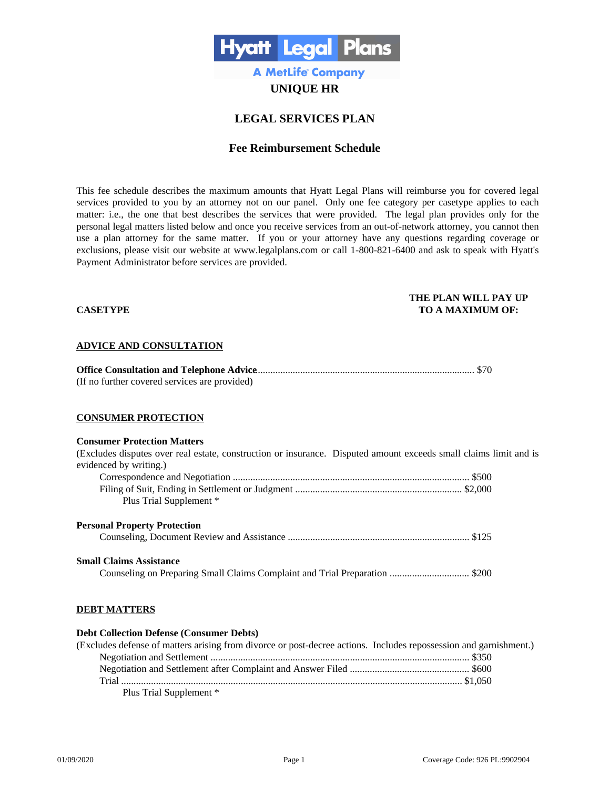

# **UNIQUE HR**

# **LEGAL SERVICES PLAN**

## **Fee Reimbursement Schedule**

This fee schedule describes the maximum amounts that Hyatt Legal Plans will reimburse you for covered legal services provided to you by an attorney not on our panel. Only one fee category per casetype applies to each matter: i.e., the one that best describes the services that were provided. The legal plan provides only for the personal legal matters listed below and once you receive services from an out-of-network attorney, you cannot then use a plan attorney for the same matter. If you or your attorney have any questions regarding coverage or exclusions, please visit our website at www.legalplans.com or call 1-800-821-6400 and ask to speak with Hyatt's Payment Administrator before services are provided.

#### **THE PLAN WILL PAY UP CASETYPE TO A MAXIMUM OF:**

#### **ADVICE AND CONSULTATION**

| (If no further covered services are provided) |  |
|-----------------------------------------------|--|

## **CONSUMER PROTECTION**

#### **Consumer Protection Matters**

| Consumer i rotecnon maners                                                                                        |  |
|-------------------------------------------------------------------------------------------------------------------|--|
| (Excludes disputes over real estate, construction or insurance. Disputed amount exceeds small claims limit and is |  |
| evidenced by writing.)                                                                                            |  |
|                                                                                                                   |  |
|                                                                                                                   |  |
| Plus Trial Supplement *                                                                                           |  |
| <b>Personal Property Protection</b>                                                                               |  |
|                                                                                                                   |  |
| <b>Small Claims Assistance</b>                                                                                    |  |
|                                                                                                                   |  |
| <b>DEBT MATTERS</b>                                                                                               |  |

## **Debt Collection Defense (Consumer Debts)** (Excludes defense of matters arising from divorce or post-decree actions. Includes repossession and garnishment.) Negotiation and Settlement ........................................................................................................ \$350 Negotiation and Settlement after Complaint and Answer Filed ................................................ \$600 Trial ......................................................................................................................................... \$1,050 Plus Trial Supplement \*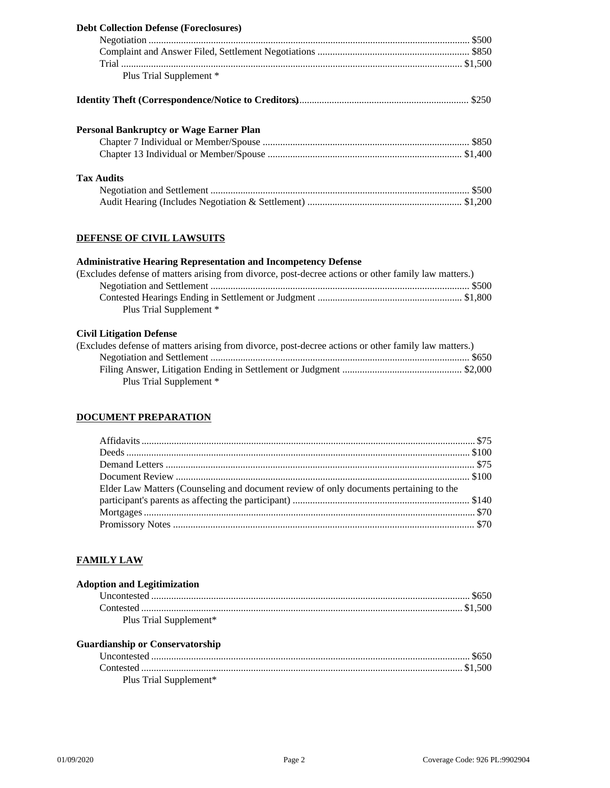| <b>Debt Collection Defense (Foreclosures)</b>  |  |
|------------------------------------------------|--|
|                                                |  |
|                                                |  |
|                                                |  |
| Plus Trial Supplement *                        |  |
|                                                |  |
| <b>Personal Bankruptcy or Wage Earner Plan</b> |  |
|                                                |  |
|                                                |  |
| <b>Tax Audits</b>                              |  |
|                                                |  |
|                                                |  |

## **DEFENSE OF CIVIL LAWSUITS**

## **Administrative Hearing Representation and Incompetency Defense**

| (Excludes defense of matters arising from divorce, post-decree actions or other family law matters.) |  |
|------------------------------------------------------------------------------------------------------|--|
|                                                                                                      |  |
|                                                                                                      |  |
| Plus Trial Supplement *                                                                              |  |

## **Civil Litigation Defense**

| (Excludes defense of matters arising from divorce, post-decree actions or other family law matters.) |  |
|------------------------------------------------------------------------------------------------------|--|
|                                                                                                      |  |
|                                                                                                      |  |
| Plus Trial Supplement *                                                                              |  |

## **DOCUMENT PREPARATION**

| Elder Law Matters (Counseling and document review of only documents pertaining to the |  |
|---------------------------------------------------------------------------------------|--|
|                                                                                       |  |
|                                                                                       |  |
|                                                                                       |  |

## **FAMILY LAW**

| <b>Adoption and Legitimization</b> |  |
|------------------------------------|--|
|                                    |  |
|                                    |  |
| Plus Trial Supplement*             |  |

## **Guardianship or Conservatorship**

| Plus Trial Supplement* |  |
|------------------------|--|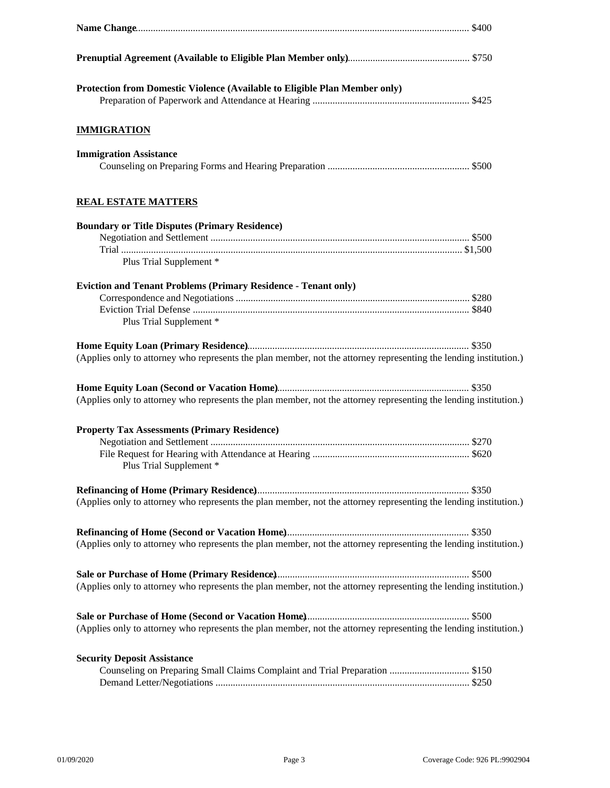| Protection from Domestic Violence (Available to Eligible Plan Member only)                                        |  |
|-------------------------------------------------------------------------------------------------------------------|--|
| <b>IMMIGRATION</b>                                                                                                |  |
| <b>Immigration Assistance</b>                                                                                     |  |
| <b>REAL ESTATE MATTERS</b>                                                                                        |  |
| <b>Boundary or Title Disputes (Primary Residence)</b>                                                             |  |
|                                                                                                                   |  |
|                                                                                                                   |  |
| Plus Trial Supplement *                                                                                           |  |
|                                                                                                                   |  |
| <b>Eviction and Tenant Problems (Primary Residence - Tenant only)</b>                                             |  |
|                                                                                                                   |  |
| Plus Trial Supplement *                                                                                           |  |
|                                                                                                                   |  |
| (Applies only to attorney who represents the plan member, not the attorney representing the lending institution.) |  |
|                                                                                                                   |  |
|                                                                                                                   |  |
| (Applies only to attorney who represents the plan member, not the attorney representing the lending institution.) |  |
|                                                                                                                   |  |
| <b>Property Tax Assessments (Primary Residence)</b>                                                               |  |
|                                                                                                                   |  |
| Plus Trial Supplement *                                                                                           |  |
|                                                                                                                   |  |
| (Applies only to attorney who represents the plan member, not the attorney representing the lending institution.) |  |
|                                                                                                                   |  |
| (Applies only to attorney who represents the plan member, not the attorney representing the lending institution.) |  |
|                                                                                                                   |  |
| (Applies only to attorney who represents the plan member, not the attorney representing the lending institution.) |  |
|                                                                                                                   |  |
| (Applies only to attorney who represents the plan member, not the attorney representing the lending institution.) |  |
| <b>Security Deposit Assistance</b>                                                                                |  |
| Counseling on Preparing Small Claims Complaint and Trial Preparation  \$150                                       |  |
|                                                                                                                   |  |